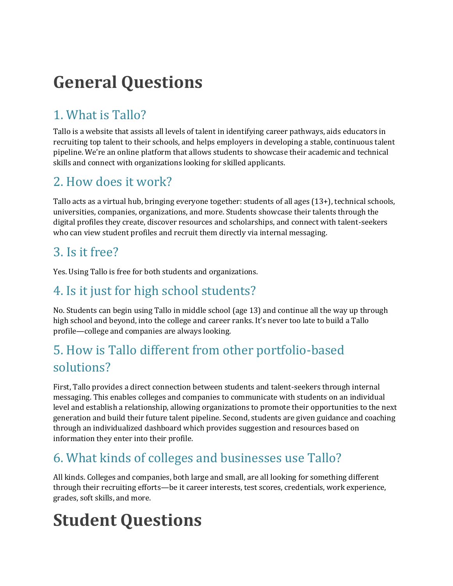## **General Questions**

## 1. What is Tallo?

Tallo is a website that assists all levels of talent in identifying career pathways, aids educators in recruiting top talent to their schools, and helps employers in developing a stable, continuous talent pipeline. We're an online platform that allows students to showcase their academic and technical skills and connect with organizations looking for skilled applicants.

#### 2. How does it work?

Tallo acts as a virtual hub, bringing everyone together: students of all ages (13+), technical schools, universities, companies, organizations, and more. Students showcase their talents through the digital profiles they create, discover resources and scholarships, and connect with talent-seekers who can view student profiles and recruit them directly via internal messaging.

#### 3. Is it free?

Yes. Using Tallo is free for both students and organizations.

#### 4. Is it just for high school students?

No. Students can begin using Tallo in middle school (age 13) and continue all the way up through high school and beyond, into the college and career ranks. It's never too late to build a Tallo profile—college and companies are always looking.

### 5. How is Tallo different from other portfolio-based solutions?

First, Tallo provides a direct connection between students and talent-seekers through internal messaging. This enables colleges and companies to communicate with students on an individual level and establish a relationship, allowing organizations to promote their opportunities to the next generation and build their future talent pipeline. Second, students are given guidance and coaching through an individualized dashboard which provides suggestion and resources based on information they enter into their profile.

## 6. What kinds of colleges and businesses use Tallo?

All kinds. Colleges and companies, both large and small, are all looking for something different through their recruiting efforts—be it career interests, test scores, credentials, work experience, grades, soft skills, and more.

# **Student Questions**